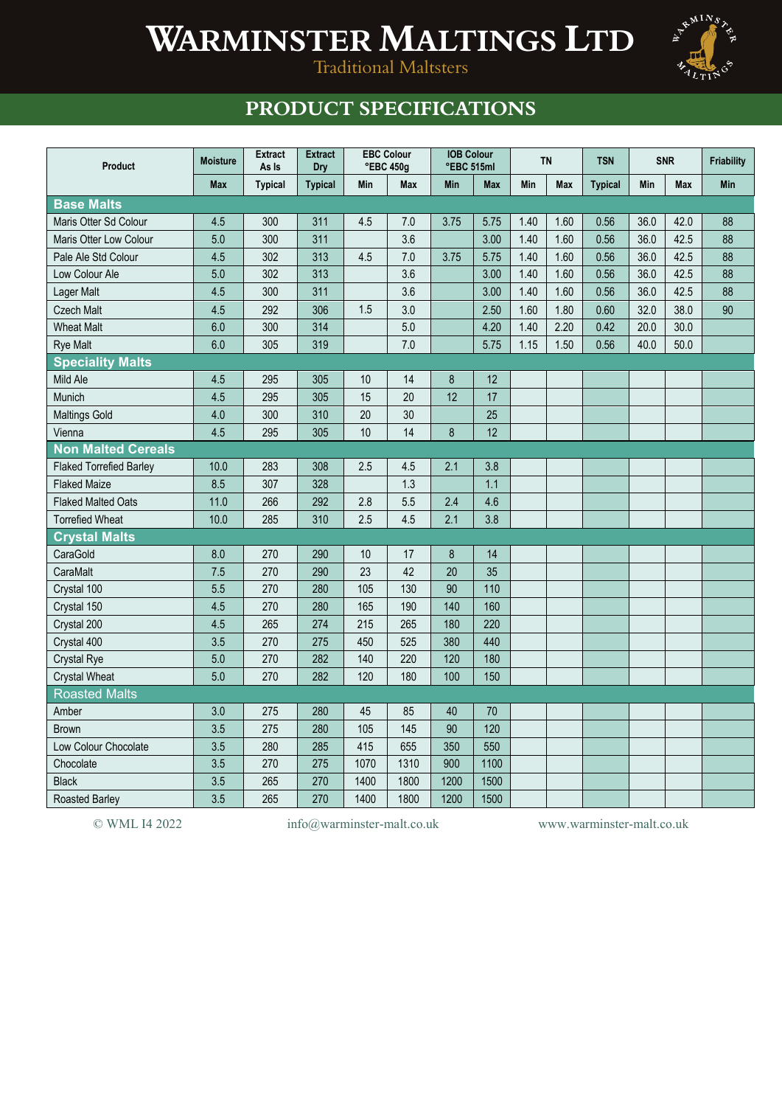## **WARMINSTER MALTINGS LTD**



Traditional Maltsters

## **PRODUCT SPECIFICATIONS**

| Product                        | <b>Moisture</b> | <b>Extract</b><br>As Is | <b>Extract</b><br>Dry |                 | <b>EBC Colour</b><br>°EBC 450g | <b>IOB Colour</b><br>°EBC 515ml |                 | <b>TN</b>  |            | <b>TSN</b>     | <b>SNR</b> |            | <b>Friability</b> |
|--------------------------------|-----------------|-------------------------|-----------------------|-----------------|--------------------------------|---------------------------------|-----------------|------------|------------|----------------|------------|------------|-------------------|
|                                | <b>Max</b>      | <b>Typical</b>          | <b>Typical</b>        | Min             | <b>Max</b>                     | <b>Min</b>                      | <b>Max</b>      | <b>Min</b> | <b>Max</b> | <b>Typical</b> | Min        | <b>Max</b> | Min               |
| <b>Base Malts</b>              |                 |                         |                       |                 |                                |                                 |                 |            |            |                |            |            |                   |
| Maris Otter Sd Colour          | 4.5             | 300                     | 311                   | 4.5             | 7.0                            | 3.75                            | 5.75            | 1.40       | 1.60       | 0.56           | 36.0       | 42.0       | 88                |
| Maris Otter Low Colour         | 5.0             | 300                     | 311                   |                 | 3.6                            |                                 | 3.00            | 1.40       | 1.60       | 0.56           | 36.0       | 42.5       | 88                |
| Pale Ale Std Colour            | 4.5             | 302                     | 313                   | 4.5             | 7.0                            | 3.75                            | 5.75            | 1.40       | 1.60       | 0.56           | 36.0       | 42.5       | 88                |
| Low Colour Ale                 | 5.0             | 302                     | 313                   |                 | 3.6                            |                                 | 3.00            | 1.40       | 1.60       | 0.56           | 36.0       | 42.5       | 88                |
| Lager Malt                     | 4.5             | 300                     | 311                   |                 | 3.6                            |                                 | 3.00            | 1.40       | 1.60       | 0.56           | 36.0       | 42.5       | 88                |
| <b>Czech Malt</b>              | 4.5             | 292                     | 306                   | 1.5             | 3.0                            |                                 | 2.50            | 1.60       | 1.80       | 0.60           | 32.0       | 38.0       | 90                |
| <b>Wheat Malt</b>              | 6.0             | 300                     | 314                   |                 | 5.0                            |                                 | 4.20            | 1.40       | 2.20       | 0.42           | 20.0       | 30.0       |                   |
| <b>Rye Malt</b>                | 6.0             | 305                     | 319                   |                 | 7.0                            |                                 | 5.75            | 1.15       | 1.50       | 0.56           | 40.0       | 50.0       |                   |
| <b>Speciality Malts</b>        |                 |                         |                       |                 |                                |                                 |                 |            |            |                |            |            |                   |
| Mild Ale                       | 4.5             | 295                     | 305                   | 10              | 14                             | 8                               | 12              |            |            |                |            |            |                   |
| Munich                         | 4.5             | 295                     | 305                   | 15              | 20                             | 12                              | 17              |            |            |                |            |            |                   |
| <b>Maltings Gold</b>           | 4.0             | 300                     | 310                   | 20              | 30                             |                                 | 25              |            |            |                |            |            |                   |
| Vienna                         | 4.5             | 295                     | 305                   | 10              | 14                             | 8                               | $\overline{12}$ |            |            |                |            |            |                   |
| <b>Non Malted Cereals</b>      |                 |                         |                       |                 |                                |                                 |                 |            |            |                |            |            |                   |
| <b>Flaked Torrefied Barley</b> | 10.0            | 283                     | 308                   | 2.5             | 4.5                            | 2.1                             | 3.8             |            |            |                |            |            |                   |
| <b>Flaked Maize</b>            | 8.5             | 307                     | 328                   |                 | 1.3                            |                                 | 1.1             |            |            |                |            |            |                   |
| <b>Flaked Malted Oats</b>      | 11.0            | 266                     | 292                   | 2.8             | 5.5                            | 2.4                             | 4.6             |            |            |                |            |            |                   |
| <b>Torrefied Wheat</b>         | 10.0            | 285                     | 310                   | 2.5             | 4.5                            | 2.1                             | 3.8             |            |            |                |            |            |                   |
| <b>Crystal Malts</b>           |                 |                         |                       |                 |                                |                                 |                 |            |            |                |            |            |                   |
| CaraGold                       | 8.0             | 270                     | 290                   | 10              | 17                             | 8                               | 14              |            |            |                |            |            |                   |
| CaraMalt                       | 7.5             | 270                     | 290                   | $\overline{23}$ | 42                             | 20                              | 35              |            |            |                |            |            |                   |
| Crystal 100                    | 5.5             | 270                     | 280                   | 105             | 130                            | 90                              | 110             |            |            |                |            |            |                   |
| Crystal 150                    | 4.5             | 270                     | 280                   | 165             | 190                            | 140                             | 160             |            |            |                |            |            |                   |
| Crystal 200                    | 4.5             | 265                     | 274                   | 215             | 265                            | 180                             | 220             |            |            |                |            |            |                   |
| Crystal 400                    | 3.5             | 270                     | 275                   | 450             | 525                            | 380                             | 440             |            |            |                |            |            |                   |
| <b>Crystal Rye</b>             | 5.0             | 270                     | 282                   | 140             | 220                            | 120                             | 180             |            |            |                |            |            |                   |
| <b>Crystal Wheat</b>           | 5.0             | 270                     | 282                   | 120             | 180                            | 100                             | 150             |            |            |                |            |            |                   |
| <b>Roasted Malts</b>           |                 |                         |                       |                 |                                |                                 |                 |            |            |                |            |            |                   |
| Amber                          | 3.0             | 275                     | 280                   | 45              | 85                             | 40                              | 70              |            |            |                |            |            |                   |
| <b>Brown</b>                   | 3.5             | 275                     | 280                   | 105             | 145                            | 90                              | 120             |            |            |                |            |            |                   |
| Low Colour Chocolate           | 3.5             | 280                     | 285                   | 415             | 655                            | 350                             | 550             |            |            |                |            |            |                   |
| Chocolate                      | 3.5             | 270                     | 275                   | 1070            | 1310                           | 900                             | 1100            |            |            |                |            |            |                   |
| <b>Black</b>                   | 3.5             | 265                     | 270                   | 1400            | 1800                           | 1200                            | 1500            |            |            |                |            |            |                   |
| Roasted Barley                 | 3.5             | 265                     | 270                   | 1400            | 1800                           | 1200                            | 1500            |            |            |                |            |            |                   |

© WML I4 2022 info@warminster-malt.co.uk www.warminster-malt.co.uk